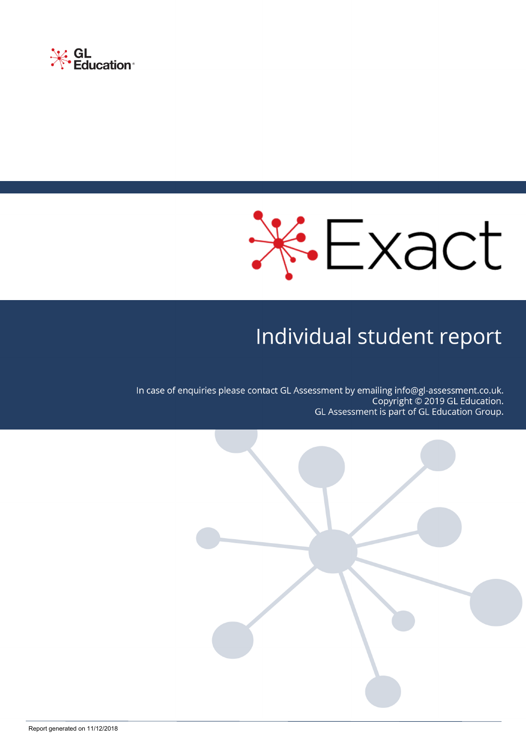



# Individual student report

In case of enquiries please contact GL Assessment by emailing info@gl-assessment.co.uk. Copyright © 2019 GL Education. GL Assessment is part of GL Education Group.

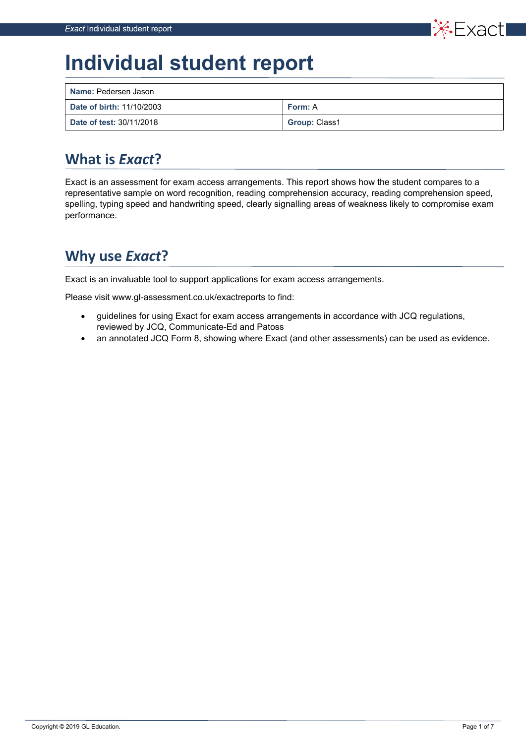

# **Individual student report**

| Name: Pedersen Jason      |                      |
|---------------------------|----------------------|
| Date of birth: 11/10/2003 | Form: A              |
| Date of test: 30/11/2018  | <b>Group: Class1</b> |

# **What is** *Exact***?**

Exact is an assessment for exam access arrangements. This report shows how the student compares to a representative sample on word recognition, reading comprehension accuracy, reading comprehension speed, spelling, typing speed and handwriting speed, clearly signalling areas of weakness likely to compromise exam performance.

# **Why use** *Exact***?**

Exact is an invaluable tool to support applications for exam access arrangements.

Please visit www.gl-assessment.co.uk/exactreports to find:

- guidelines for using Exact for exam access arrangements in accordance with JCQ regulations, reviewed by JCQ, Communicate-Ed and Patoss
- an annotated JCQ Form 8, showing where Exact (and other assessments) can be used as evidence.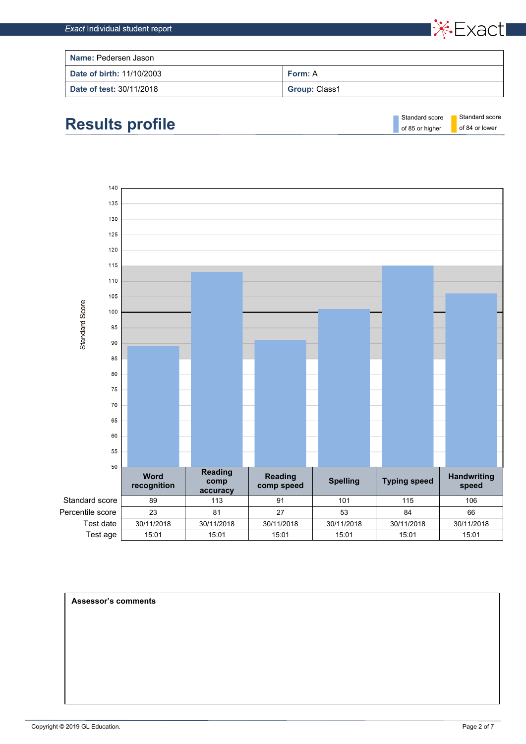

| <b>Name: Pedersen Jason</b>     |                      |  |  |  |
|---------------------------------|----------------------|--|--|--|
| Date of birth: 11/10/2003       | <b>Form: A</b>       |  |  |  |
| <b>Date of test: 30/11/2018</b> | <b>Group: Class1</b> |  |  |  |





**Assessor's comments**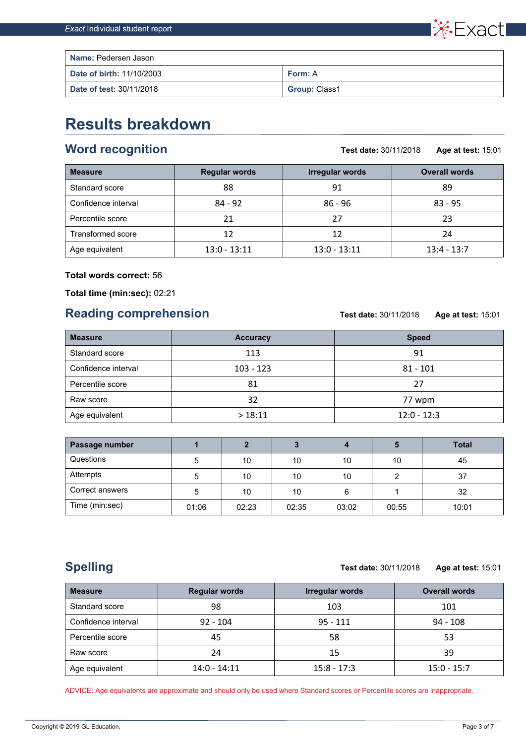

| <b>Name: Pedersen Jason</b> |                      |
|-----------------------------|----------------------|
| Date of birth: 11/10/2003   | <b>Form: A</b>       |
| Date of test: 30/11/2018    | <b>Group: Class1</b> |

# **Results breakdown**

#### **Word recognition**

**Test date:** 30/11/2018 **Age at test:** 15:01

| <b>Measure</b>      | <b>Regular words</b> | <b>Irregular words</b> | <b>Overall words</b> |  |  |
|---------------------|----------------------|------------------------|----------------------|--|--|
| Standard score      | 88                   | 91                     | 89                   |  |  |
| Confidence interval | $84 - 92$            | $86 - 96$              | $83 - 95$            |  |  |
| Percentile score    | 21                   | 27                     | 23                   |  |  |
| Transformed score   | 12                   | 12                     | 24                   |  |  |
| Age equivalent      | $13:0 - 13:11$       | $13:0 - 13:11$         | $13:4 - 13:7$        |  |  |

#### **Total words correct:** 56

**Total time (min:sec):** 02:21

#### **Reading comprehension**

**Test date:** 30/11/2018 **Age at test:** 15:01

| <b>Measure</b>      | <b>Accuracy</b> | <b>Speed</b>  |
|---------------------|-----------------|---------------|
| Standard score      | 113             | 91            |
| Confidence interval | $103 - 123$     |               |
| Percentile score    | 81              | 27            |
| Raw score           | 32              | 77 wpm        |
| Age equivalent      | >18:11          | $12:0 - 12:3$ |

| Passage number  |       |       |       |       | Ð     | <b>Total</b> |
|-----------------|-------|-------|-------|-------|-------|--------------|
| Questions       | 5     | 10    | 10    | 10    | 10    | 45           |
| Attempts        | 5     | 10    | 10    | 10    |       | 37           |
| Correct answers | 5     | 10    | 10    | 6     |       | 32           |
| Time (min:sec)  | 01:06 | 02:23 | 02:35 | 03:02 | 00:55 | 10:01        |

## **Spelling**

#### **Test date:** 30/11/2018 **Age at test:** 15:01

**Measure Regular words Irregular words Overall words** Standard score and  $\begin{array}{ccc} 98 & 103 & 101 \end{array}$ Confidence interval 92 - 104 95 - 111 94 - 108 Percentile score 45 58 53 Raw score 24 15 39 Age equivalent 14:0 - 14:11 15:8 - 17:3 15:0 - 15:0 - 15:7

ADVICE: Age equivalents are approximate and should only be used where Standard scores or Percentile scores are inappropriate.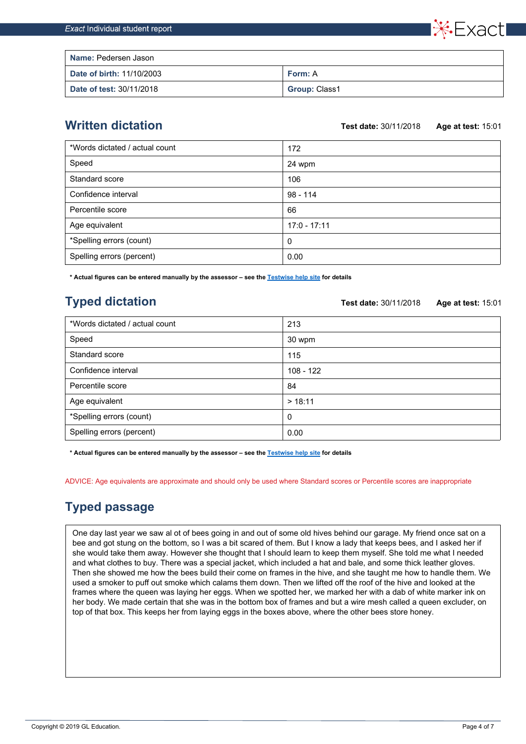**Name:** Pedersen Jason **Date of birth: 11/10/2003 Form: A Date of test: 30/11/2018** Group: Class1

#### **Written dictation**

**Test date:** 30/11/2018 **Age at test:** 15:01

\*Fxact,

| *Words dictated / actual count | 172            |
|--------------------------------|----------------|
| Speed                          | 24 wpm         |
| Standard score                 | 106            |
| Confidence interval            | $98 - 114$     |
| Percentile score               | 66             |
| Age equivalent                 | $17:0 - 17:11$ |
| *Spelling errors (count)       | 0              |
| Spelling errors (percent)      | 0.00           |

**\* Actual figures can be entered manually by the assessor – see the [Testwise help site](https://help.testingforschools.com/) for details**

## **Typed dictation**

**Test date:** 30/11/2018 **Age at test:** 15:01

| *Words dictated / actual count | 213         |
|--------------------------------|-------------|
| Speed                          | 30 wpm      |
| Standard score                 | 115         |
| Confidence interval            | $108 - 122$ |
| Percentile score               | 84          |
| Age equivalent                 | > 18:11     |
| *Spelling errors (count)       | 0           |
| Spelling errors (percent)      | 0.00        |

**\* Actual figures can be entered manually by the assessor – see the [Testwise help site](https://help.testingforschools.com/) for details**

ADVICE: Age equivalents are approximate and should only be used where Standard scores or Percentile scores are inappropriate

### **Typed passage**

One day last year we saw al ot of bees going in and out of some old hives behind our garage. My friend once sat on a bee and got stung on the bottom, so I was a bit scared of them. But I know a lady that keeps bees, and I asked her if she would take them away. However she thought that I should learn to keep them myself. She told me what I needed and what clothes to buy. There was a special jacket, which included a hat and bale, and some thick leather gloves. Then she showed me how the bees build their come on frames in the hive, and she taught me how to handle them. We used a smoker to puff out smoke which calams them down. Then we lifted off the roof of the hive and looked at the frames where the queen was laying her eggs. When we spotted her, we marked her with a dab of white marker ink on her body. We made certain that she was in the bottom box of frames and but a wire mesh called a queen excluder, on top of that box. This keeps her from laying eggs in the boxes above, where the other bees store honey.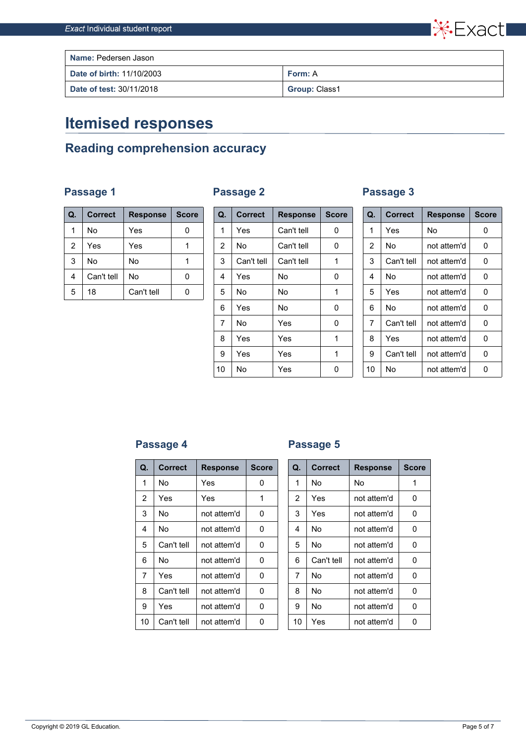

| <b>Name: Pedersen Jason</b>     |                      |  |  |  |
|---------------------------------|----------------------|--|--|--|
| Date of birth: 11/10/2003       | <b>Form: A</b>       |  |  |  |
| <b>Date of test: 30/11/2018</b> | <b>Group: Class1</b> |  |  |  |

# **Itemised responses**

## **Reading comprehension accuracy**

#### **Passage 1 Passage 2 Passage 3**

|  | Passage : |  |
|--|-----------|--|
|  |           |  |

| Q.             | <b>Correct</b> | <b>Response</b> | <b>Score</b> |
|----------------|----------------|-----------------|--------------|
| 1              | No             | Yes             |              |
| $\overline{2}$ | Yes            | Yes             |              |
| 3              | No             | No              |              |
| 4              | Can't tell     | No              |              |
| 5              | 18             | Can't tell      |              |

| Q.             | <b>Correct</b> | <b>Response</b> | <b>Score</b> | Q.             | <b>Correct</b> | <b>Response</b> | <b>Score</b> | Q. | <b>Correct</b> | <b>Response</b> | <b>Score</b> |
|----------------|----------------|-----------------|--------------|----------------|----------------|-----------------|--------------|----|----------------|-----------------|--------------|
| 1              | No.            | Yes             | $\mathbf 0$  | 1              | Yes            | Can't tell      | 0            | 1  | Yes            | <b>No</b>       | 0            |
| $\overline{2}$ | Yes            | Yes             | 1            | $\overline{2}$ | No             | Can't tell      | 0            | 2  | No             | not attem'd     | $\mathbf 0$  |
| 3              | <b>No</b>      | <b>No</b>       | 1            | 3              | Can't tell     | Can't tell      | 1            | 3  | Can't tell     | not attem'd     | $\mathbf{0}$ |
| 4              | Can't tell     | No              | $\mathbf 0$  | 4              | Yes            | <b>No</b>       | 0            | 4  | No             | not attem'd     | $\mathbf 0$  |
| 5              | 18             | Can't tell      | $\pmb{0}$    | 5              | No             | <b>No</b>       | 1            | 5  | Yes            | not attem'd     | $\mathbf 0$  |
|                |                |                 |              | 6              | Yes            | No              | 0            | 6  | No             | not attem'd     | $\mathbf{0}$ |
|                |                |                 |              | 7              | No             | Yes             | 0            | 7  | Can't tell     | not attem'd     | $\mathbf 0$  |
|                |                |                 |              | 8              | Yes            | Yes             | 1            | 8  | Yes            | not attem'd     | $\mathbf 0$  |
|                |                |                 |              | 9              | Yes            | Yes             | 1            | 9  | Can't tell     | not attem'd     | $\mathbf{0}$ |
|                |                |                 |              | 10             | No             | Yes             | 0            | 10 | No             | not attem'd     | $\mathbf 0$  |
|                |                |                 |              |                |                |                 |              |    |                |                 |              |

| Q. | <b>Correct</b> | <b>Response</b> | <b>Score</b> |
|----|----------------|-----------------|--------------|
| 1  | Yes            | No              | 0            |
| 2  | No             | not attem'd     | 0            |
| 3  | Can't tell     | not attem'd     | 0            |
| 4  | No             | not attem'd     | 0            |
| 5  | Yes            | not attem'd     | O            |
| 6  | N٥             | not attem'd     | 0            |
| 7  | Can't tell     | not attem'd     | N            |
| 8  | Yes            | not attem'd     | 0            |
| 9  | Can't tell     | not attem'd     | 0            |
| 10 | No             | not attem'd     | N            |

#### **Passage 4 Passage 5**

| Q. | <b>Correct</b> | <b>Response</b> | <b>Score</b> | Q.             | <b>Correct</b> | <b>Response</b> | <b>Score</b> |
|----|----------------|-----------------|--------------|----------------|----------------|-----------------|--------------|
| 1  | No             | Yes             | 0            | 1              | No             | No              | 1            |
| 2  | Yes            | Yes             | 1            | $\overline{2}$ | Yes            | not attem'd     | 0            |
| 3  | No             | not attem'd     | $\Omega$     | 3              | Yes            | not attem'd     | 0            |
| 4  | No             | not attem'd     | $\Omega$     | 4              | No             | not attem'd     | 0            |
| 5  | Can't tell     | not attem'd     | 0            | 5              | No             | not attem'd     | 0            |
| 6  | No             | not attem'd     | $\Omega$     | 6              | Can't tell     | not attem'd     | 0            |
| 7  | <b>Yes</b>     | not attem'd     | 0            | 7              | No             | not attem'd     | $\Omega$     |
| 8  | Can't tell     | not attem'd     | 0            | 8              | No.            | not attem'd     | $\Omega$     |
| 9  | Yes            | not attem'd     | $\Omega$     | 9              | No             | not attem'd     | 0            |
| 10 | Can't tell     | not attem'd     | $\Omega$     | 10             | Yes            | not attem'd     | 0            |

| Q.             | <b>Correct</b> | <b>Response</b> | <b>Score</b> |  |
|----------------|----------------|-----------------|--------------|--|
| 1              | No             | No              | 1            |  |
| $\overline{2}$ | Yes            | not attem'd     | 0            |  |
| 3              | Yes            | not attem'd     | 0            |  |
| 4              | No             | not attem'd     | 0            |  |
| 5              | No             | not attem'd     | 0            |  |
| 6              | Can't tell     | not attem'd     | 0            |  |
| 7              | N٥             | not attem'd     | 0            |  |
| 8              | N٥             | not attem'd     | 0            |  |
| 9              | N٥             | not attem'd     | U            |  |
| 10             | Yes            | not attem'd     |              |  |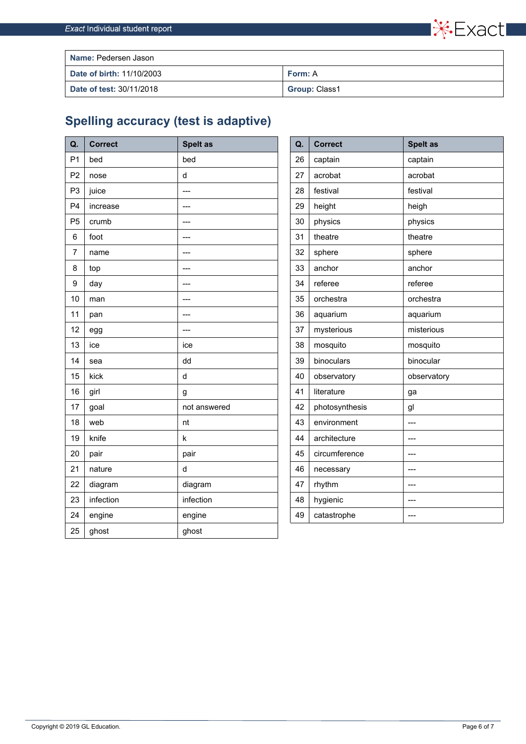

| <b>Name: Pedersen Jason</b>     |                      |  |  |
|---------------------------------|----------------------|--|--|
| Date of birth: 11/10/2003       | Form: A              |  |  |
| <b>Date of test: 30/11/2018</b> | <b>Group: Class1</b> |  |  |

## **Spelling accuracy (test is adaptive)**

| Q.             | <b>Correct</b> | <b>Spelt as</b> | Q. | <b>Correct</b> | <b>Spelt as</b> |
|----------------|----------------|-----------------|----|----------------|-----------------|
| P <sub>1</sub> | bed            | bed             | 26 | captain        | captain         |
| P <sub>2</sub> | nose           | $\mathsf{d}$    | 27 | acrobat        | acrobat         |
| P <sub>3</sub> | juice          | $---$           | 28 | festival       | festival        |
| P <sub>4</sub> | increase       |                 | 29 | height         | heigh           |
| P <sub>5</sub> | crumb          |                 | 30 | physics        | physics         |
| 6              | foot           |                 | 31 | theatre        | theatre         |
| 7              | name           | ---             | 32 | sphere         | sphere          |
| 8              | top            | ---             | 33 | anchor         | anchor          |
| 9              | day            | ---             | 34 | referee        | referee         |
| 10             | man            | ---             | 35 | orchestra      | orchestra       |
| 11             | pan            | ---             | 36 | aquarium       | aquarium        |
| 12             | egg            |                 | 37 | mysterious     | misterious      |
| 13             | ice            | ice             | 38 | mosquito       | mosquito        |
| 14             | sea            | dd              | 39 | binoculars     | binocular       |
| 15             | kick           | $\mathsf{d}$    | 40 | observatory    | observatory     |
| 16             | girl           | g               | 41 | literature     | ga              |
| 17             | goal           | not answered    | 42 | photosynthesis | gl              |
| 18             | web            | nt              | 43 | environment    | $---$           |
| 19             | knife          | $\sf k$         | 44 | architecture   | $---$           |
| 20             | pair           | pair            | 45 | circumference  | ---             |
| 21             | nature         | d               | 46 | necessary      | ---             |
| 22             | diagram        | diagram         | 47 | rhythm         |                 |
| 23             | infection      | infection       | 48 | hygienic       |                 |
| 24             | engine         | engine          | 49 | catastrophe    | $---$           |
| 25             | ghost          | ghost           |    |                |                 |